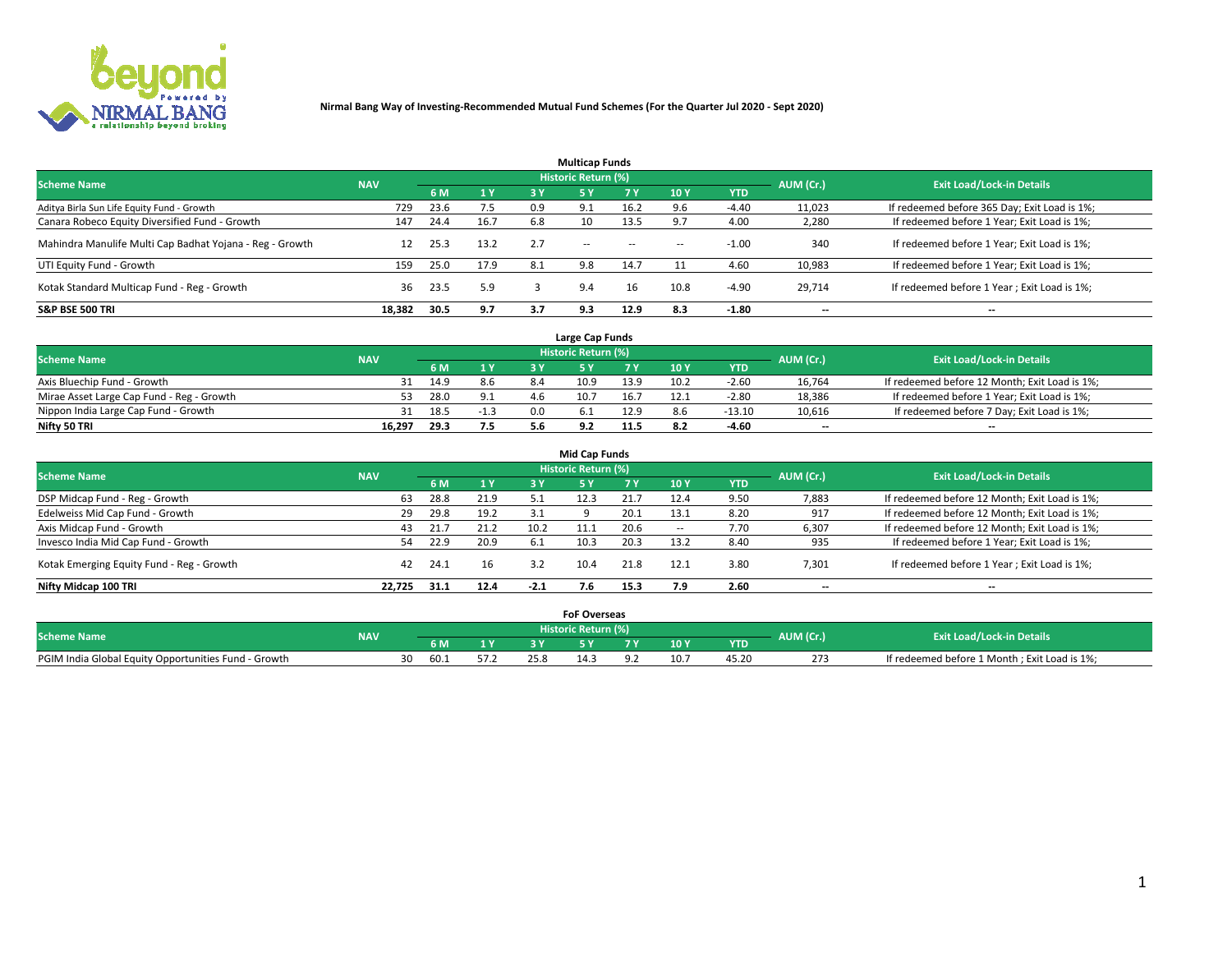

|                                                          |            |      |      |     | <b>Multicap Funds</b> |           |      |            |           |                                              |
|----------------------------------------------------------|------------|------|------|-----|-----------------------|-----------|------|------------|-----------|----------------------------------------------|
| <b>Scheme Name</b>                                       | <b>NAV</b> |      |      |     | Historic Return (%)   |           |      |            | AUM (Cr.) | <b>Exit Load/Lock-in Details</b>             |
|                                                          |            | 6 M  | 1Y   | 3 Y | -5 Y                  | <b>7Y</b> | 10Y  | <b>YTD</b> |           |                                              |
| Aditya Birla Sun Life Equity Fund - Growth               | 729        | 23.6 | 7.5  | 0.9 | 9.1                   | 16.2      |      | $-4.40$    | 11,023    | If redeemed before 365 Day; Exit Load is 1%; |
| Canara Robeco Equity Diversified Fund - Growth           | 147        | 24.4 | 16.7 | 6.8 | 10                    | 13.5      |      | 4.00       | 2,280     | If redeemed before 1 Year; Exit Load is 1%;  |
| Mahindra Manulife Multi Cap Badhat Yojana - Reg - Growth |            | 25.3 | 13.2 | 2.7 | $\sim$ $-$            | $\sim$    | $-$  | $-1.00$    | 340       | If redeemed before 1 Year; Exit Load is 1%;  |
| UTI Equity Fund - Growth                                 | 159        | 25.0 | 17.9 | 8.1 | 9.8                   | 14.7      |      | 4.60       | 10,983    | If redeemed before 1 Year; Exit Load is 1%;  |
| Kotak Standard Multicap Fund - Reg - Growth              | 36         | 23.5 | 5.9  |     | 9.4                   |           | 10.8 | $-4.90$    | 29,714    | If redeemed before 1 Year; Exit Load is 1%;  |
| <b>S&amp;P BSE 500 TRI</b>                               | 18.382     | 30.5 | 9.7  | 3.7 | 9.3                   | 12.9      | 8.3  | $-1.80$    | --        | $- -$                                        |

|                                           |            |      |                       |     | Large Cap Funds     |      |      |            |                          |                                               |
|-------------------------------------------|------------|------|-----------------------|-----|---------------------|------|------|------------|--------------------------|-----------------------------------------------|
| <b>Scheme Name</b>                        | <b>NAV</b> |      |                       |     | Historic Return (%) |      |      |            | AUM (Cr.)                | <b>Exit Load/Lock-in Details</b>              |
|                                           |            |      | $\sqrt{1}$ $\sqrt{7}$ |     |                     |      | 10 Y | <b>YTD</b> |                          |                                               |
| Axis Bluechip Fund - Growth               |            | 14.9 | 8.6                   | 8.4 | 10.9                | 13.9 | 10.2 | $-2.60$    | 16,764                   | If redeemed before 12 Month; Exit Load is 1%; |
| Mirae Asset Large Cap Fund - Reg - Growth |            | 28.0 | 9.1                   |     | 10.7                | 16.7 |      | $-2.80$    | 18,386                   | If redeemed before 1 Year; Exit Load is 1%;   |
| Nippon India Large Cap Fund - Growth      |            | 18.5 | -1.3                  | 0.0 |                     | 12.9 |      | $-13.10$   | 10,616                   | If redeemed before 7 Day; Exit Load is 1%;    |
| Nifty 50 TRI                              | 16,297     | 29.3 | 7.5                   |     |                     | 11.5 |      | $-4.60$    | $\overline{\phantom{a}}$ | $\overline{\phantom{a}}$                      |

| <b>Mid Cap Funds</b>                      |            |      |      |        |                     |      |                 |            |                          |                                               |  |  |  |
|-------------------------------------------|------------|------|------|--------|---------------------|------|-----------------|------------|--------------------------|-----------------------------------------------|--|--|--|
| <b>Scheme Name</b>                        | <b>NAV</b> |      |      |        | Historic Return (%) |      |                 |            | AUM (Cr.)                | <b>Exit Load/Lock-in Details</b>              |  |  |  |
|                                           |            | 6 M  | 1Y   | 3 Y    | .5 Y                |      | 10 <sub>Y</sub> | <b>YTD</b> |                          |                                               |  |  |  |
| DSP Midcap Fund - Reg - Growth            | 63         | 28.8 | 21.9 |        | 12.3                | 21.7 | 12.4            | 9.50       | 7,883                    | If redeemed before 12 Month; Exit Load is 1%; |  |  |  |
| Edelweiss Mid Cap Fund - Growth           | 29         | 29.8 | 19.2 | 3.1    |                     | 20.1 | 13.1            | 8.20       | 917                      | If redeemed before 12 Month; Exit Load is 1%; |  |  |  |
| Axis Midcap Fund - Growth                 | 43         | 21.7 | 21.2 | 10.2   |                     | 20.6 | $\sim$          | 7.70       | 6,307                    | If redeemed before 12 Month; Exit Load is 1%; |  |  |  |
| Invesco India Mid Cap Fund - Growth       |            | 22.9 | 20.9 | 6.1    | 10.3                | 20.3 | 13.2            | 8.40       | 935                      | If redeemed before 1 Year; Exit Load is 1%;   |  |  |  |
| Kotak Emerging Equity Fund - Reg - Growth | 42         | 24.1 | 16   | 3.2    |                     | 21.8 | 12.1            | 3.80       | 7,301                    | If redeemed before 1 Year; Exit Load is 1%;   |  |  |  |
| Nifty Midcap 100 TRI                      | 22.725     | 31.1 | 12.4 | $-2.1$ |                     | 15.3 | 7.9             | 2.60       | $\overline{\phantom{a}}$ | $\overline{\phantom{a}}$                      |  |  |  |

|                                                      |            |     |    |      | <b>FoF Overseas</b> |      |            |           |                                              |
|------------------------------------------------------|------------|-----|----|------|---------------------|------|------------|-----------|----------------------------------------------|
| <b>Scheme Name</b>                                   | <b>NAV</b> |     |    |      | Historic Return (%) |      |            | AUM (Cr.) | <b>Exit Load/Lock-in Details</b>             |
|                                                      |            | 6 M | 1Y |      |                     | 10 Y | <b>YTD</b> |           |                                              |
| PGIM India Global Equity Opportunities Fund - Growth |            |     |    | 25.8 |                     |      | 45.ZU      | 273       | If redeemed before 1 Month; Exit Load is 1%; |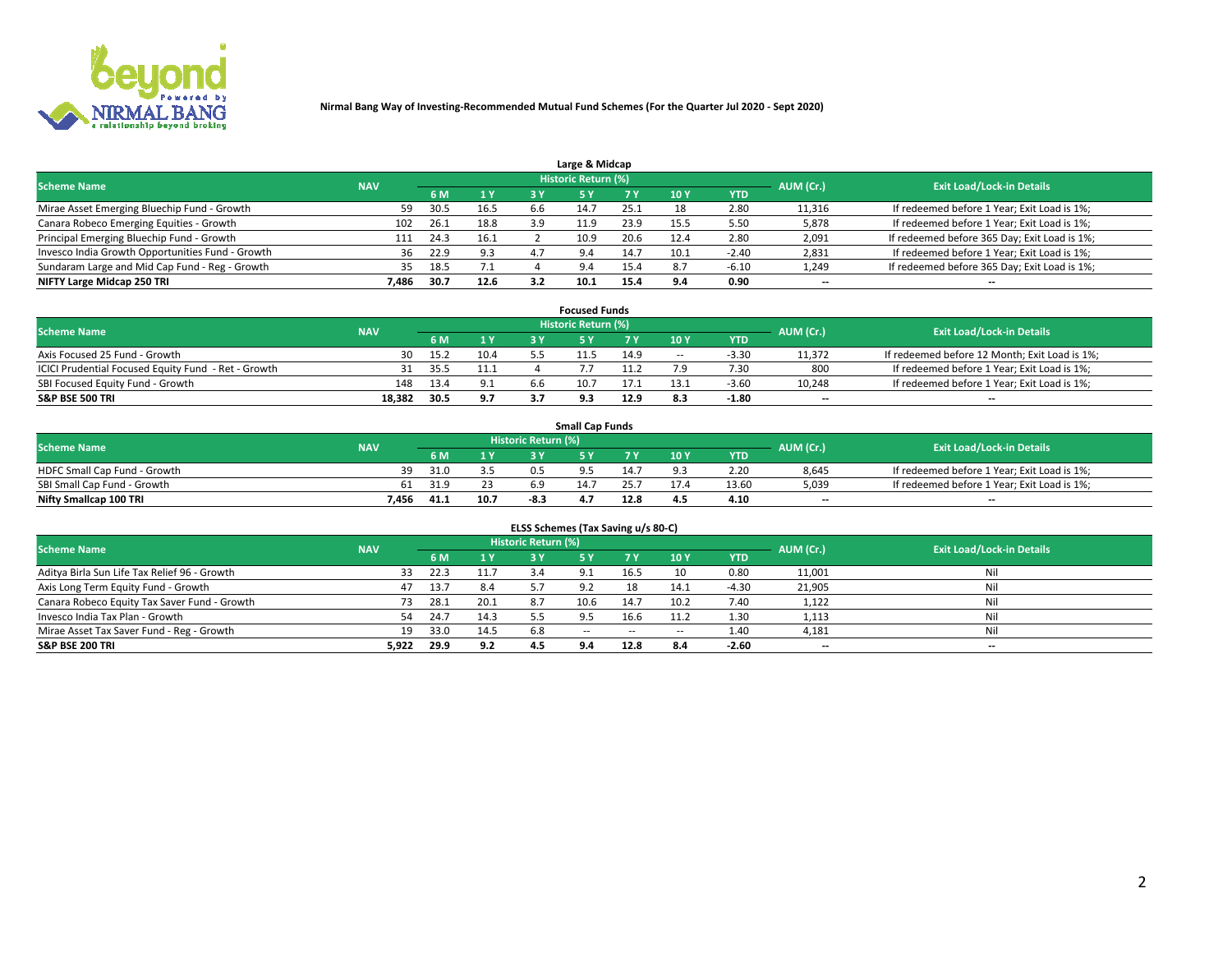

|                                                  |            |      |      |     | Large & Midcap      |      |      |            |                          |                                              |
|--------------------------------------------------|------------|------|------|-----|---------------------|------|------|------------|--------------------------|----------------------------------------------|
| <b>Scheme Name</b>                               | <b>NAV</b> |      |      |     | Historic Return (%) |      |      |            | AUM (Cr.)                | <b>Exit Load/Lock-in Details</b>             |
|                                                  |            | 6 M  | 1 Y  | 3 Y |                     | 7 V  | 10Y  | <b>YTD</b> |                          |                                              |
| Mirae Asset Emerging Bluechip Fund - Growth      | 59         | 30.5 | 16.5 | b.b |                     | 25.1 | 18   | 2.80       | 11,316                   | If redeemed before 1 Year; Exit Load is 1%;  |
| Canara Robeco Emerging Equities - Growth         | 102        | 26.1 | 18.8 | 3.9 | 11.9                | 23.9 | 15.5 | 5.50       | 5,878                    | If redeemed before 1 Year; Exit Load is 1%;  |
| Principal Emerging Bluechip Fund - Growth        | 111        | 24.3 | 16.1 |     | 10.9                | 20.6 | 12.4 | 2.80       | 2,091                    | If redeemed before 365 Day; Exit Load is 1%; |
| Invesco India Growth Opportunities Fund - Growth | 36         | 22.9 | 9.3  | 4.7 | 9.4                 | 14.7 | 10.1 | $-2.40$    | 2,831                    | If redeemed before 1 Year; Exit Load is 1%;  |
| Sundaram Large and Mid Cap Fund - Reg - Growth   | 35         | 18.5 | 7.1  |     | 9.4                 | 15.4 | 8.7  | $-6.10$    | 1,249                    | If redeemed before 365 Day; Exit Load is 1%; |
| NIFTY Large Midcap 250 TRI                       | 7.486      | 30.7 | 12.6 | 3.2 |                     |      |      | 0.90       | $\overline{\phantom{a}}$ | $- -$                                        |

|                                                     |            |      |      |     | <b>Focused Funds</b>       |      |        |            |                          |                                               |
|-----------------------------------------------------|------------|------|------|-----|----------------------------|------|--------|------------|--------------------------|-----------------------------------------------|
| <b>Scheme Name</b>                                  | <b>NAV</b> |      |      |     | <b>Historic Return (%)</b> |      |        |            | AUM (Cr.)                | <b>Exit Load/Lock-in Details</b>              |
|                                                     |            | 6 M  | 1 Y  |     |                            | 7 Y  | '10 Y  | <b>YTD</b> |                          |                                               |
| Axis Focused 25 Fund - Growth                       | 30         | 15.2 | 10.4 |     | 11.5                       | 14.9 | $\sim$ | $-3.3C$    | 11,372                   | If redeemed before 12 Month; Exit Load is 1%; |
| ICICI Prudential Focused Equity Fund - Ret - Growth |            | 35.5 |      |     |                            |      |        | 7.30       | 800                      | If redeemed before 1 Year; Exit Load is 1%;   |
| SBI Focused Equity Fund - Growth                    | 148        | 13.4 | 9.1  | b.b | 10.                        |      |        | $-3.60$    | 10,248                   | If redeemed before 1 Year; Exit Load is 1%;   |
| <b>S&amp;P BSE 500 TRI</b>                          | 18.382     | 30.5 | 9.7  | 37  |                            | 12.9 |        | $-1.80$    | $\overline{\phantom{a}}$ | $\overline{\phantom{a}}$                      |

| <b>Small Cap Funds</b>       |            |      |      |                     |      |      |                 |            |           |                                             |  |  |  |
|------------------------------|------------|------|------|---------------------|------|------|-----------------|------------|-----------|---------------------------------------------|--|--|--|
| <b>Scheme Name</b>           | <b>NAV</b> |      |      | Historic Return (%) |      |      |                 |            | AUM (Cr.) | <b>Exit Load/Lock-in Details</b>            |  |  |  |
|                              |            | 6 M  |      |                     |      |      | 10 <sub>Y</sub> | <b>YTD</b> |           |                                             |  |  |  |
| HDFC Small Cap Fund - Growth | 39         | 31.0 |      | 0.5                 |      | 14 J |                 | 2.20       | 8,645     | If redeemed before 1 Year; Exit Load is 1%; |  |  |  |
| SBI Small Cap Fund - Growth  | 61         | 31.9 |      | 6.9                 | 14.7 |      |                 | 13.60      | 5,039     | If redeemed before 1 Year; Exit Load is 1%; |  |  |  |
| Nifty Smallcap 100 TRI       | 7.456      | 41.1 | 10.7 | -8.3                |      | 12.8 | 4.5             | 4.10       | $- -$     | $- -$                                       |  |  |  |

| ELSS Schemes (Tax Saving u/s 80-C)           |            |       |      |                            |            |        |                          |            |                          |                                  |  |  |  |
|----------------------------------------------|------------|-------|------|----------------------------|------------|--------|--------------------------|------------|--------------------------|----------------------------------|--|--|--|
| <b>Scheme Name</b>                           | <b>NAV</b> |       |      | <b>Historic Return (%)</b> |            |        |                          |            | AUM (Cr.)                | <b>Exit Load/Lock-in Details</b> |  |  |  |
|                                              |            | - 6 M | 1Y   | 3 Y                        | <b>5Y</b>  | 7 Y    | 10 Y                     | <b>YTD</b> |                          |                                  |  |  |  |
| Aditya Birla Sun Life Tax Relief 96 - Growth | 33         | 22.3  | 11.7 |                            |            | 16.5   | 10                       | 0.80       | 11,001                   | Nil                              |  |  |  |
| Axis Long Term Equity Fund - Growth          | 47         | 13.7  | 8.4  | 57                         | 9.2        | 18     | 14.1                     | $-4.30$    | 21,905                   | Nil                              |  |  |  |
| Canara Robeco Equity Tax Saver Fund - Growth | 73         | 28.1  | 20.1 | 8.7                        | 10.6       | 14.7   | 10.2                     | 7.40       | 1,122                    | Nil                              |  |  |  |
| Invesco India Tax Plan - Growth              | 54         | 24.7  | 14.3 |                            |            | 16.6   | 11.2                     | 1.30       | 1,113                    | Nil                              |  |  |  |
| Mirae Asset Tax Saver Fund - Reg - Growth    | 19         | 33.0  | 14.5 | 6.8                        | $\sim$ $-$ | $\sim$ | $\overline{\phantom{a}}$ | 1.40       | 4,181                    | Nil                              |  |  |  |
| S&P BSE 200 TRI                              | 5,922      | 29.9  | 9.2  |                            | 9.4        | 12.8   | 8.4                      | $-2.60$    | $\overline{\phantom{a}}$ | $- -$                            |  |  |  |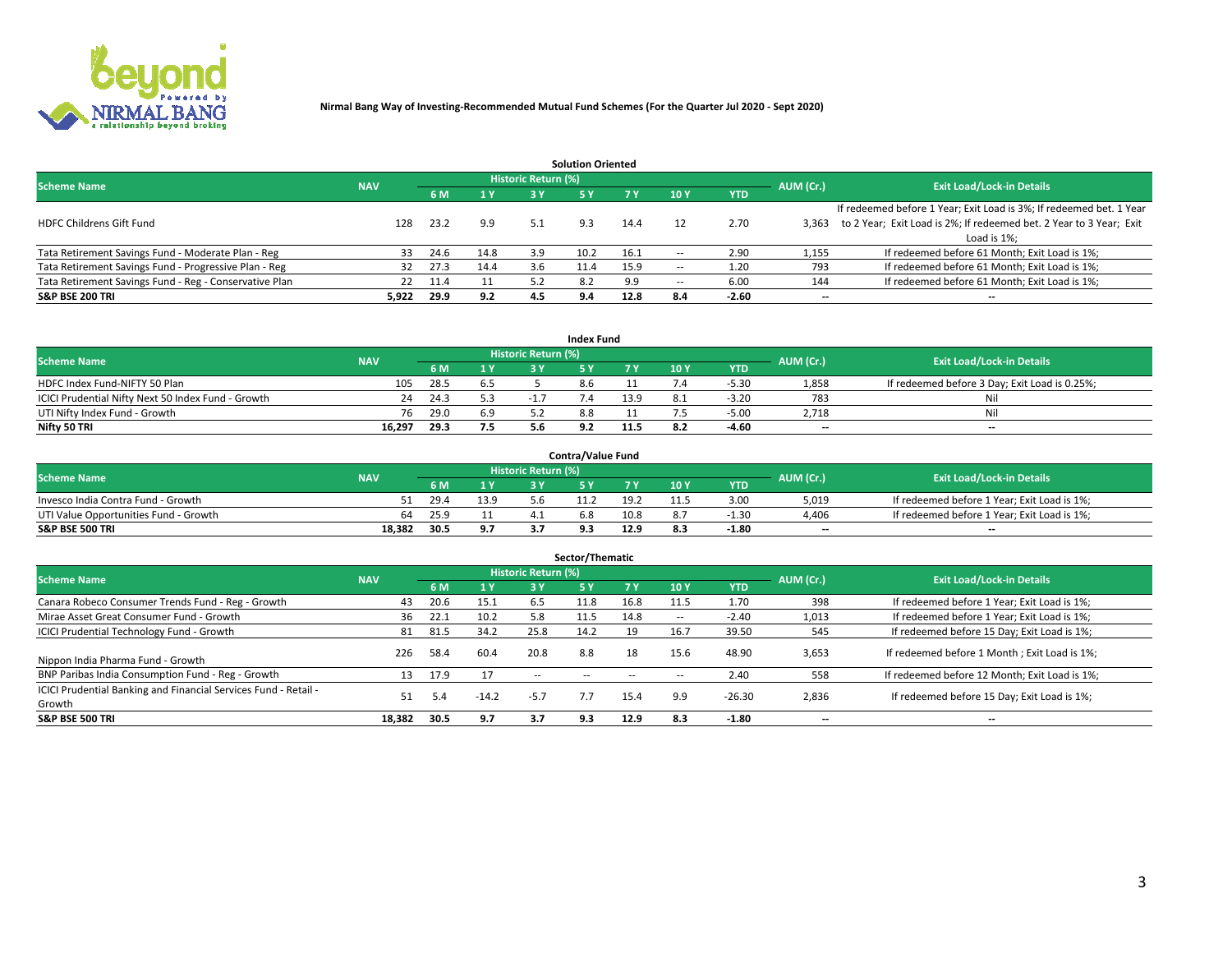

|                                                        |            |            |      |                            | <b>Solution Oriented</b> |      |                          |            |                          |                                                                     |
|--------------------------------------------------------|------------|------------|------|----------------------------|--------------------------|------|--------------------------|------------|--------------------------|---------------------------------------------------------------------|
| <b>Scheme Name</b>                                     | <b>NAV</b> |            |      | <b>Historic Return (%)</b> |                          |      |                          |            | AUM (Cr.)                | <b>Exit Load/Lock-in Details</b>                                    |
|                                                        |            | <b>6 M</b> | 1 Y  | 3 Y                        |                          |      | 10Y                      | <b>YTD</b> |                          |                                                                     |
|                                                        |            |            |      |                            |                          |      |                          |            |                          | If redeemed before 1 Year; Exit Load is 3%; If redeemed bet. 1 Year |
| <b>HDFC Childrens Gift Fund</b>                        | 128        | 23.2       | 9.9  | 5.1                        | 9.3                      | 14.4 |                          | 2.70       | 3.363                    | to 2 Year; Exit Load is 2%; If redeemed bet. 2 Year to 3 Year; Exit |
|                                                        |            |            |      |                            |                          |      |                          |            |                          | Load is 1%;                                                         |
| Tata Retirement Savings Fund - Moderate Plan - Reg     | 33         | 24.6       | 14.8 | 3.9                        | 10.2                     | 16.1 | --                       | 2.90       | 1,155                    | If redeemed before 61 Month; Exit Load is 1%;                       |
| Tata Retirement Savings Fund - Progressive Plan - Reg  | 32         | 27.3       | 14.4 | 3.6                        | 11.4                     | 15.9 | $\overline{\phantom{a}}$ | 1.20       | 793                      | If redeemed before 61 Month; Exit Load is 1%;                       |
| Tata Retirement Savings Fund - Reg - Conservative Plan | 22         | 11.4       | 11   | 57                         |                          | 9.9  | --                       | 6.00       | 144                      | If redeemed before 61 Month; Exit Load is 1%;                       |
| S&P BSE 200 TRI                                        | 5,922      | 29.9       | 9.2  | 4.5                        | 9.4                      | 12.8 | 8.4                      | $-2.60$    | $\overline{\phantom{a}}$ | $- -$                                                               |

|                                                    |            |      |     |                     | <b>Index Fund</b> |      |      |            |                          |                                               |
|----------------------------------------------------|------------|------|-----|---------------------|-------------------|------|------|------------|--------------------------|-----------------------------------------------|
| <b>Scheme Name</b>                                 | <b>NAV</b> |      |     | Historic Return (%) |                   |      |      |            | AUM (Cr.)                | <b>Exit Load/Lock-in Details</b>              |
|                                                    |            | 6 M  | 1 Y |                     |                   |      | 10 Y | <b>YTD</b> |                          |                                               |
| HDFC Index Fund-NIFTY 50 Plan                      | 105        | 28.5 | 6.5 |                     | 8.t               |      |      | $-5.30$    | 1,858                    | If redeemed before 3 Day; Exit Load is 0.25%; |
| ICICI Prudential Nifty Next 50 Index Fund - Growth | 24         | 24.3 | 5.3 |                     |                   | 13.9 |      | $-3.20$    | 783                      |                                               |
| UTI Nifty Index Fund - Growth                      | 76         | 29.0 | 6.9 |                     |                   |      |      | $-5.00$    | 2,718                    | Nil                                           |
| Nifty 50 TRI                                       | 16.297     | 29.3 | 7.5 | 5.6                 |                   | 11.5 | 8.2  | $-4.60$    | $\overline{\phantom{a}}$ | $- -$                                         |

|                                       |            |      |      |                     | <b>Contra/Value Fund</b> |      |      |            |                          |                                             |
|---------------------------------------|------------|------|------|---------------------|--------------------------|------|------|------------|--------------------------|---------------------------------------------|
| <b>Scheme Name</b>                    | <b>NAV</b> |      |      | Historic Return (%) |                          |      |      |            | AUM (Cr.)                | <b>Exit Load/Lock-in Details</b>            |
|                                       |            |      | 1 V  |                     |                          | 7 V  | 10Y  | <b>YTD</b> |                          |                                             |
| Invesco India Contra Fund - Growth    |            | 29.4 | 13.9 |                     |                          | 19.2 | 11.5 | 3.00       | 5,019                    | If redeemed before 1 Year; Exit Load is 1%; |
| UTI Value Opportunities Fund - Growth | 64         | 25.9 |      |                     | n.ŏ                      | 10.8 |      | $-1.30$    | 4,406                    | If redeemed before 1 Year; Exit Load is 1%; |
| <b>S&amp;P BSE 500 TRI</b>            | 18.382     | 30.5 | 9.7  |                     |                          | 12.9 |      | $-1.80$    | $\overline{\phantom{a}}$ | $- -$                                       |

|                                                                           |            |      |                |                            | Sector/Thematic |           |                          |            |           |                                               |
|---------------------------------------------------------------------------|------------|------|----------------|----------------------------|-----------------|-----------|--------------------------|------------|-----------|-----------------------------------------------|
| <b>Scheme Name</b>                                                        | <b>NAV</b> |      |                | <b>Historic Return (%)</b> |                 |           |                          |            | AUM (Cr.) | <b>Exit Load/Lock-in Details</b>              |
|                                                                           |            | 6 M  | 1 <sub>Y</sub> | 3 Y                        | <b>5Y</b>       | <b>7Y</b> | 10Y                      | <b>YTD</b> |           |                                               |
| Canara Robeco Consumer Trends Fund - Reg - Growth                         | 43         | 20.6 | 15.1           | 6.5                        | 11.8            | 16.8      | 11.5                     | 1.70       | 398       | If redeemed before 1 Year; Exit Load is 1%;   |
| Mirae Asset Great Consumer Fund - Growth                                  | 36         | 22.1 | 10.2           | 5.8                        | 11.5            | 14.8      | $\overline{\phantom{a}}$ | $-2.40$    | 1,013     | If redeemed before 1 Year; Exit Load is 1%;   |
| <b>ICICI Prudential Technology Fund - Growth</b>                          | 81         | 81.5 | 34.2           | 25.8                       | 14.2            | 19        | 16.7                     | 39.50      | 545       | If redeemed before 15 Day; Exit Load is 1%;   |
| Nippon India Pharma Fund - Growth                                         | 226        | 58.4 | 60.4           | 20.8                       | 8.8             | 18        | 15.6                     | 48.90      | 3,653     | If redeemed before 1 Month; Exit Load is 1%;  |
| BNP Paribas India Consumption Fund - Reg - Growth                         | 13         | 17.9 | 17             | $-$                        |                 |           | -                        | 2.40       | 558       | If redeemed before 12 Month; Exit Load is 1%; |
| ICICI Prudential Banking and Financial Services Fund - Retail -<br>Growth | 51         | 5.4  | $-14.2$        | $-5.7$                     |                 | 15.4      | 9.9                      | $-26.30$   | 2,836     | If redeemed before 15 Day; Exit Load is 1%;   |
| <b>S&amp;P BSE 500 TRI</b>                                                | 18.382     | 30.5 | 9.7            | 3.7                        | 9.3             | 12.9      | 8.3                      | $-1.80$    |           | --                                            |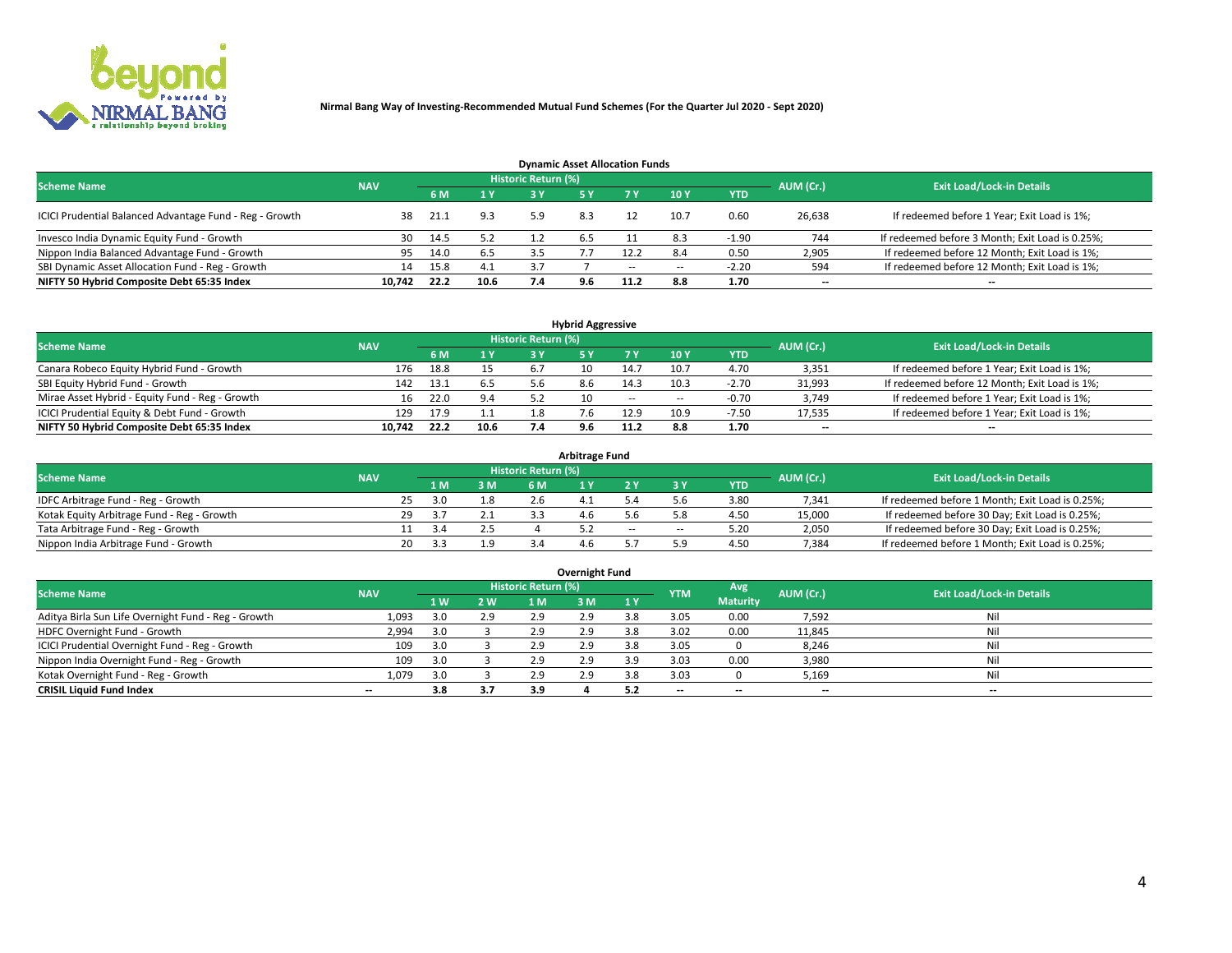

| <b>Dynamic Asset Allocation Funds</b>                   |                                                                                                                 |         |      |     |     |        |                          |            |        |                                                 |  |  |  |  |  |
|---------------------------------------------------------|-----------------------------------------------------------------------------------------------------------------|---------|------|-----|-----|--------|--------------------------|------------|--------|-------------------------------------------------|--|--|--|--|--|
|                                                         | <b>Historic Return (%)</b><br><b>Exit Load/Lock-in Details</b><br><b>Scheme Name</b><br>AUM (Cr.)<br><b>NAV</b> |         |      |     |     |        |                          |            |        |                                                 |  |  |  |  |  |
|                                                         |                                                                                                                 | 6 M     | 1 Y  |     |     |        | $-10Y$                   | <b>YTD</b> |        |                                                 |  |  |  |  |  |
| ICICI Prudential Balanced Advantage Fund - Reg - Growth |                                                                                                                 | - 21.1  | 9.3  | 5.9 | 8.3 |        | 10.7                     | 0.60       | 26,638 | If redeemed before 1 Year; Exit Load is 1%;     |  |  |  |  |  |
| Invesco India Dynamic Equity Fund - Growth              |                                                                                                                 | 30 14.5 | 5.2  |     | b.5 |        | 8.3                      | $-1.90$    | 744    | If redeemed before 3 Month; Exit Load is 0.25%; |  |  |  |  |  |
| Nippon India Balanced Advantage Fund - Growth           | 95                                                                                                              | 14.0    | 6.5  | 3.5 |     | 12.2   | 8.4                      | 0.50       | 2,905  | If redeemed before 12 Month; Exit Load is 1%;   |  |  |  |  |  |
| SBI Dynamic Asset Allocation Fund - Reg - Growth        | 14                                                                                                              | 15.8    | 4.1  | 3.7 |     | $\sim$ | $\overline{\phantom{a}}$ | $-2.20$    | 594    | If redeemed before 12 Month; Exit Load is 1%;   |  |  |  |  |  |
| NIFTY 50 Hybrid Composite Debt 65:35 Index              | 10.742                                                                                                          | 22.2    | 10.6 | 7.4 | 9.6 | 11.2   | 8.8                      | 1.70       | $- -$  | $- -$                                           |  |  |  |  |  |

| <b>Hybrid Aggressive</b>                        |                                                                                                          |      |      |    |    |        |                          |            |        |                                               |  |  |  |  |  |
|-------------------------------------------------|----------------------------------------------------------------------------------------------------------|------|------|----|----|--------|--------------------------|------------|--------|-----------------------------------------------|--|--|--|--|--|
|                                                 | Historic Return (%)<br><b>Exit Load/Lock-in Details</b><br><b>Scheme Name</b><br>AUM (Cr.)<br><b>NAV</b> |      |      |    |    |        |                          |            |        |                                               |  |  |  |  |  |
|                                                 |                                                                                                          | 6 M  | 1 Y  | RУ |    |        | 10Y                      | <b>YTD</b> |        |                                               |  |  |  |  |  |
| Canara Robeco Equity Hybrid Fund - Growth       | 176                                                                                                      | 18.8 | 15   |    | 10 | 14.7   | 10.7                     | 4.70       | 3,351  | If redeemed before 1 Year; Exit Load is 1%;   |  |  |  |  |  |
| SBI Equity Hybrid Fund - Growth                 | 142                                                                                                      | 13.1 |      |    |    | 14.3   | 10.3                     | $-2.70$    | 31,993 | If redeemed before 12 Month; Exit Load is 1%; |  |  |  |  |  |
| Mirae Asset Hybrid - Equity Fund - Reg - Growth | 16                                                                                                       | 22.0 | 9.4  |    | 10 | $\sim$ | $\overline{\phantom{a}}$ | $-0.70$    | 3,749  | If redeemed before 1 Year; Exit Load is 1%;   |  |  |  |  |  |
| ICICI Prudential Equity & Debt Fund - Growth    | 129                                                                                                      | 17.9 | 1.1  |    |    | 12.9   | 10.9                     | $-7.50$    | 17,535 | If redeemed before 1 Year; Exit Load is 1%;   |  |  |  |  |  |
| NIFTY 50 Hybrid Composite Debt 65:35 Index      | 10.742                                                                                                   | 22.2 | 10.6 |    |    | 11.2   |                          | 1.70       | $- -$  | $- -$                                         |  |  |  |  |  |

| <b>Arbitrage Fund</b>                      |            |                                  |      |     |           |  |        |        |            |        |                                                 |  |  |  |
|--------------------------------------------|------------|----------------------------------|------|-----|-----------|--|--------|--------|------------|--------|-------------------------------------------------|--|--|--|
| <b>Scheme Name</b>                         | AUM (Cr.)  | <b>Exit Load/Lock-in Details</b> |      |     |           |  |        |        |            |        |                                                 |  |  |  |
|                                            | <b>NAV</b> |                                  | LΜ   | 3 M | <b>6M</b> |  |        |        | <b>YTD</b> |        |                                                 |  |  |  |
| IDFC Arbitrage Fund - Reg - Growth         |            | 25                               | 3.0  |     | 2.6       |  |        |        | 3.80       | 7,341  | If redeemed before 1 Month; Exit Load is 0.25%; |  |  |  |
| Kotak Equity Arbitrage Fund - Reg - Growth |            | 29                               | - 37 |     |           |  |        |        | 4.50       | 15,000 | If redeemed before 30 Day; Exit Load is 0.25%;  |  |  |  |
| Tata Arbitrage Fund - Reg - Growth         |            |                                  | 3.4  |     |           |  | $\sim$ | $\sim$ | 5.20       | 2,050  | If redeemed before 30 Day; Exit Load is 0.25%;  |  |  |  |
| Nippon India Arbitrage Fund - Growth       |            | 20                               |      |     |           |  |        |        | 4.50       | 7,384  | If redeemed before 1 Month; Exit Load is 0.25%; |  |  |  |

| Overnight Fund                                      |            |     |     |                     |     |           |            |                 |                          |                                  |  |  |  |  |
|-----------------------------------------------------|------------|-----|-----|---------------------|-----|-----------|------------|-----------------|--------------------------|----------------------------------|--|--|--|--|
| <b>Scheme Name</b>                                  | <b>NAV</b> |     |     | Historic Return (%) |     |           | <b>YTM</b> | Avg             | AUM (Cr.)                | <b>Exit Load/Lock-in Details</b> |  |  |  |  |
|                                                     |            | 1W  | 2 W | 1 M                 | : M | <b>1Y</b> |            | <b>Maturity</b> |                          |                                  |  |  |  |  |
| Aditya Birla Sun Life Overnight Fund - Reg - Growth | 1,093      | 3.0 | 2.9 | 2.9                 | 2.9 |           | 3.05       | 0.00            | 7,592                    | Nil                              |  |  |  |  |
| HDFC Overnight Fund - Growth                        | 2,994      | 3.0 |     | 2.9                 | 2.9 |           | 3.02       | 0.00            | 11,845                   | Nil                              |  |  |  |  |
| ICICI Prudential Overnight Fund - Reg - Growth      | 109        | 3.0 |     | 2.9                 | 2.5 |           | 3.05       |                 | 8,246                    | Nil                              |  |  |  |  |
| Nippon India Overnight Fund - Reg - Growth          | 109        | 3.0 |     | 2.9                 | 2.9 | 3.9       | 3.03       | 0.00            | 3,980                    | Nil                              |  |  |  |  |
| Kotak Overnight Fund - Reg - Growth                 | 1,079      | 3.0 |     | 2.9                 | 2.9 | 3.8       | 3.03       |                 | 5,169                    | Nil                              |  |  |  |  |
| <b>CRISIL Liquid Fund Index</b>                     | $- -$      | 3.8 | 3.7 | 3.9                 |     |           | --         | $- -$           | $\overline{\phantom{a}}$ | $- -$                            |  |  |  |  |

### **Overnight Fund**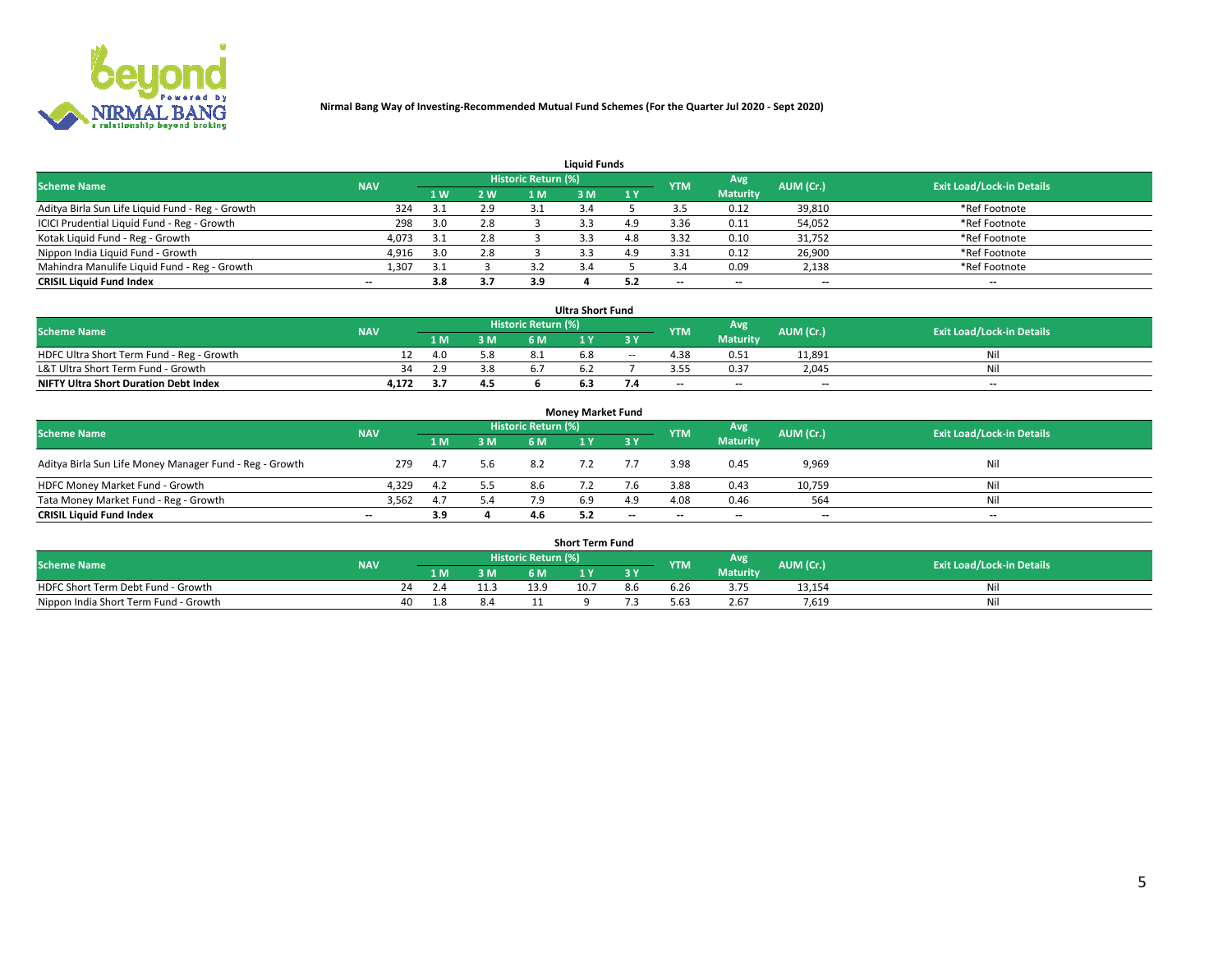

| <b>Liquid Funds</b>                              |            |     |     |                     |     |           |            |                 |           |                                  |  |  |  |  |
|--------------------------------------------------|------------|-----|-----|---------------------|-----|-----------|------------|-----------------|-----------|----------------------------------|--|--|--|--|
| <b>Scheme Name</b>                               | <b>NAV</b> |     |     | Historic Return (%) |     |           | <b>YTM</b> | Avg             | AUM (Cr.) | <b>Exit Load/Lock-in Details</b> |  |  |  |  |
|                                                  |            | 1 W | 2 W | 1 M                 | ۱M  | <b>1Y</b> |            | <b>Maturity</b> |           |                                  |  |  |  |  |
| Aditya Birla Sun Life Liquid Fund - Reg - Growth | 324        | 3.1 | 2.9 |                     |     |           |            | 0.12            | 39,810    | *Ref Footnote                    |  |  |  |  |
| ICICI Prudential Liquid Fund - Reg - Growth      | 298        | 3.0 | 2.8 |                     |     | ם ו       | 3.36       | 0.11            | 54,052    | *Ref Footnote                    |  |  |  |  |
| Kotak Liquid Fund - Reg - Growth                 | 4,073      | 3.1 | 2.8 |                     | 3.3 | 4.8       | 3.32       | 0.10            | 31,752    | *Ref Footnote                    |  |  |  |  |
| Nippon India Liquid Fund - Growth                | 4,916      | 3.0 | 2.8 |                     |     |           | 3.31       | 0.12            | 26,900    | *Ref Footnote                    |  |  |  |  |
| Mahindra Manulife Liquid Fund - Reg - Growth     | 1,307      | 3.1 |     |                     |     |           |            | 0.09            | 2,138     | *Ref Footnote                    |  |  |  |  |
| <b>CRISIL Liquid Fund Index</b>                  | $- -$      | 3.8 | 3.7 | 3.9                 |     |           | --         | $- -$           | --        | $\overline{\phantom{a}}$         |  |  |  |  |

| <b>Ultra Short Fund</b>                      |            |                                                              |     |     |    |        |      |                 |                                  |     |  |  |  |  |
|----------------------------------------------|------------|--------------------------------------------------------------|-----|-----|----|--------|------|-----------------|----------------------------------|-----|--|--|--|--|
| <b>Scheme Name</b>                           | <b>NAV</b> | <b>Historic Return (%)</b><br>Avg<br>AUM (Cr.)<br><b>YTM</b> |     |     |    |        |      |                 | <b>Exit Load/Lock-in Details</b> |     |  |  |  |  |
|                                              |            |                                                              | 3 M | 6 M |    | 3 Y    |      | <b>Maturity</b> |                                  |     |  |  |  |  |
| HDFC Ultra Short Term Fund - Reg - Growth    |            | 4.0                                                          | 5.8 |     | ה. | $\sim$ | 4.38 | 0.51            | 11,891                           | Nil |  |  |  |  |
| L&T Ultra Short Term Fund - Growth           | 34         | 2.9                                                          | 3.8 |     |    |        |      | 0.37            | 2.045                            | Ni  |  |  |  |  |
| <b>NIFTY Ultra Short Duration Debt Index</b> | 4,172      |                                                              | 4.5 |     |    |        | $-$  | $- -$           | $- -$                            | $-$ |  |  |  |  |

| <b>Monev Market Fund</b>                                |                          |      |     |                     |     |           |            |                 |           |                                  |  |  |  |  |
|---------------------------------------------------------|--------------------------|------|-----|---------------------|-----|-----------|------------|-----------------|-----------|----------------------------------|--|--|--|--|
| <b>Scheme Name</b>                                      | <b>NAV</b>               |      |     | Historic Return (%) |     |           | <b>YTM</b> | Avg.            | AUM (Cr.) | <b>Exit Load/Lock-in Details</b> |  |  |  |  |
|                                                         |                          | 1 M  | 3 M | 6 M                 |     | <b>3Y</b> |            | <b>Maturity</b> |           |                                  |  |  |  |  |
| Aditya Birla Sun Life Money Manager Fund - Reg - Growth | 279                      | -4.7 | 5.6 | 8.2                 |     |           | 3.98       | 0.45            | 9,969     | Nil                              |  |  |  |  |
| HDFC Money Market Fund - Growth                         | 4.329                    | 4.2  | 5.5 | 8.6                 |     |           | 3.88       | 0.43            | 10,759    | Nil                              |  |  |  |  |
| Tata Money Market Fund - Reg - Growth                   | 3,562                    |      | 5.4 |                     | 6.9 | 4.9       | 4.08       | 0.46            | 564       | Nil                              |  |  |  |  |
| <b>CRISIL Liquid Fund Index</b>                         | $\overline{\phantom{a}}$ | 3.9  |     |                     |     | $-$       | $-$        | $- -$           | $- -$     | $\overline{\phantom{a}}$         |  |  |  |  |

|                                       |            |       |     |                     | <b>Short Term Fund</b> |     |      |                 |           |                                  |
|---------------------------------------|------------|-------|-----|---------------------|------------------------|-----|------|-----------------|-----------|----------------------------------|
| <b>Scheme Name</b>                    | <b>NAV</b> |       |     | Historic Return (%) |                        |     | YTM  | Avg             | AUM (Cr.) | <b>Exit Load/Lock-in Details</b> |
|                                       |            | 1 M . | 3 M | 6 M                 |                        | 2V  |      | <b>Maturity</b> |           |                                  |
| HDFC Short Term Debt Fund - Growth    |            |       |     | 13.9                | 10.7                   | 8.b | 6.Zb |                 | 13,154    | M                                |
| Nippon India Short Term Fund - Growth | 40         |       | 8.4 |                     |                        |     | 5.63 | 2.67            | 7.619     | N                                |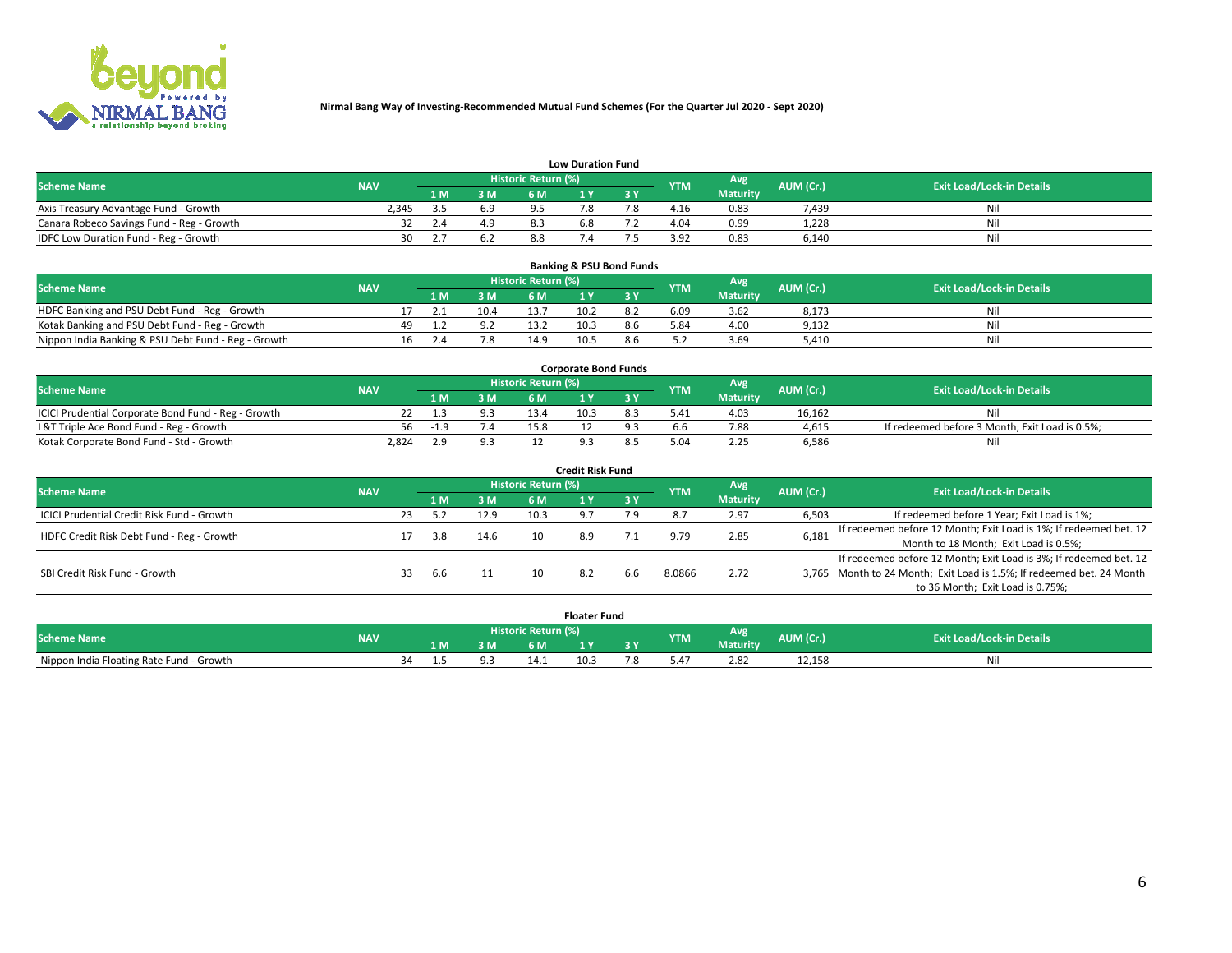

|                                           | <b>Low Duration Fund</b> |     |     |                            |     |     |            |                 |           |                                  |  |  |  |  |  |
|-------------------------------------------|--------------------------|-----|-----|----------------------------|-----|-----|------------|-----------------|-----------|----------------------------------|--|--|--|--|--|
| <b>Scheme Name</b>                        | <b>NAV</b>               |     |     | <b>Historic Return (%)</b> |     |     | <b>YTM</b> | <b>Avg</b>      | AUM (Cr.) | <b>Exit Load/Lock-in Details</b> |  |  |  |  |  |
|                                           |                          | 1 M | 3 M |                            |     | 3 Y |            | <b>Maturity</b> |           |                                  |  |  |  |  |  |
| Axis Treasury Advantage Fund - Growth     | 2.345                    |     | 6.9 |                            |     |     | 4.16       | 0.83            | 7,439     | Nil                              |  |  |  |  |  |
| Canara Robeco Savings Fund - Reg - Growth | 32                       | 2.4 | 4.9 | 8.3                        | 6.8 |     | 4.04       | 0.99            | 1,228     | Nil                              |  |  |  |  |  |
| IDFC Low Duration Fund - Reg - Growth     | 30                       |     | 6.2 | 8.8                        |     |     | 3.92       | 0.83            | 6,140     | Nil                              |  |  |  |  |  |

| <b>Banking &amp; PSU Bond Funds</b>                 |            |                                                       |     |      |                                  |      |           |      |                 |       |    |  |  |  |
|-----------------------------------------------------|------------|-------------------------------------------------------|-----|------|----------------------------------|------|-----------|------|-----------------|-------|----|--|--|--|
| <b>Scheme Name</b>                                  | <b>NAV</b> | Historic Return (%)<br>Avg<br>AUM (Cr.)<br><b>YTM</b> |     |      | <b>Exit Load/Lock-in Details</b> |      |           |      |                 |       |    |  |  |  |
|                                                     |            |                                                       | 1 M | 3 M  | 6 M                              |      | <b>AV</b> |      | <b>Maturity</b> |       |    |  |  |  |
| HDFC Banking and PSU Debt Fund - Reg - Growth       |            |                                                       |     | 10.4 |                                  | 10.2 |           | 6.09 | 3.62            | 8,173 | Ni |  |  |  |
| Kotak Banking and PSU Debt Fund - Reg - Growth      |            | 49.                                                   |     |      | 13.2                             | 10.3 | 8.6       | 5.84 | 4.00            | 9,132 | Ni |  |  |  |
| Nippon India Banking & PSU Debt Fund - Reg - Growth |            | 16                                                    |     | 7.8  | 14.9                             | 10.5 |           |      | 3.69            | 5.410 | Ni |  |  |  |

| <b>Corporate Bond Funds</b>                         |            |       |     |                            |      |  |            |                 |           |                                                |  |  |  |  |
|-----------------------------------------------------|------------|-------|-----|----------------------------|------|--|------------|-----------------|-----------|------------------------------------------------|--|--|--|--|
| <b>Scheme Name</b>                                  | <b>NAV</b> |       |     | <b>Historic Return (%)</b> |      |  | <b>YTM</b> | Avg             | AUM (Cr.) | <b>Exit Load/Lock-in Details</b>               |  |  |  |  |
|                                                     |            |       | 3 M | 6 M                        |      |  |            | <b>Maturity</b> |           |                                                |  |  |  |  |
| ICICI Prudential Corporate Bond Fund - Reg - Growth |            |       |     | 13.4                       | 10.3 |  |            | 4.03            | 16.162    | Nil                                            |  |  |  |  |
| L&T Triple Ace Bond Fund - Reg - Growth             | 56         | $-19$ | 4.  | 15.8                       |      |  |            | 7.88            | 4,615     | If redeemed before 3 Month; Exit Load is 0.5%; |  |  |  |  |
| Kotak Corporate Bond Fund - Std - Growth            | 2.824      | າ ຊ   |     |                            |      |  |            | 2.25            | 6,586     | Nil                                            |  |  |  |  |

| <b>Credit Risk Fund</b>                    |            |    |            |      |                            |       |        |            |                 |           |                                                                       |  |  |  |
|--------------------------------------------|------------|----|------------|------|----------------------------|-------|--------|------------|-----------------|-----------|-----------------------------------------------------------------------|--|--|--|
| <b>Scheme Name</b>                         | <b>NAV</b> |    |            |      | <b>Historic Return (%)</b> |       |        | <b>YTM</b> | Avg             | AUM (Cr.) | <b>Exit Load/Lock-in Details</b>                                      |  |  |  |
|                                            |            |    | <b>1 M</b> | 3 M  | 6 M                        |       | 7 3 Y. |            | <b>Maturity</b> |           |                                                                       |  |  |  |
| ICICI Prudential Credit Risk Fund - Growth |            | 23 |            | 12.9 | 10.3                       | - Q 7 | 7.9    |            | 2.97            | 6,503     | If redeemed before 1 Year; Exit Load is 1%;                           |  |  |  |
| HDFC Credit Risk Debt Fund - Reg - Growth  |            |    | 3.8        | 14.6 | 10                         | 8.9   |        | 9.79       | 2.85            | 6,181     | If redeemed before 12 Month; Exit Load is 1%; If redeemed bet. 12     |  |  |  |
|                                            |            |    |            |      |                            |       |        |            |                 |           | Month to 18 Month; Exit Load is 0.5%;                                 |  |  |  |
|                                            |            |    |            |      |                            |       |        |            |                 |           | If redeemed before 12 Month; Exit Load is 3%; If redeemed bet. 12     |  |  |  |
| SBI Credit Risk Fund - Growth              |            | 33 | 6.6        |      | 10                         |       | 6.6    | 8.0866     | 2.72            |           | 3,765 Month to 24 Month; Exit Load is 1.5%; If redeemed bet. 24 Month |  |  |  |
|                                            |            |    |            |      |                            |       |        |            |                 |           | to 36 Month; Exit Load is 0.75%;                                      |  |  |  |

| <b>Floater Fund</b>                      |            |    |     |    |                     |      |   |               |                 |           |                                  |
|------------------------------------------|------------|----|-----|----|---------------------|------|---|---------------|-----------------|-----------|----------------------------------|
| <b>Scheme Name</b>                       | <b>NAV</b> |    |     |    | Historic Return (%) |      |   | <b>YTM</b>    | Avg             | AUM (Cr.) | <b>Exit Load/Lock-in Details</b> |
|                                          |            |    | 1 M | ЗM | 6 M                 | .    | . |               | <b>Maturity</b> |           |                                  |
| Nippon India Floating Rate Fund - Growth |            | 34 |     |    | 14.1                | 10.5 |   | $0.4^{\circ}$ | 2.82            | 12,158    | NL                               |